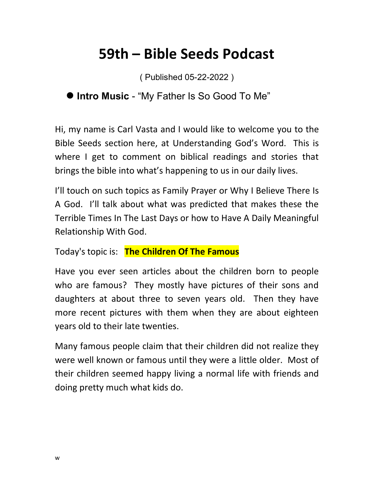## **59th – Bible Seeds Podcast**

( Published 05-22-2022 )

## **Intro Music** - "My Father Is So Good To Me"

Hi, my name is Carl Vasta and I would like to welcome you to the Bible Seeds section here, at Understanding God's Word. This is where I get to comment on biblical readings and stories that brings the bible into what's happening to us in our daily lives.

I'll touch on such topics as Family Prayer or Why I Believe There Is A God. I'll talk about what was predicted that makes these the Terrible Times In The Last Days or how to Have A Daily Meaningful Relationship With God.

Today's topic is: **The Children Of The Famous**

Have you ever seen articles about the children born to people who are famous? They mostly have pictures of their sons and daughters at about three to seven years old. Then they have more recent pictures with them when they are about eighteen years old to their late twenties.

Many famous people claim that their children did not realize they were well known or famous until they were a little older. Most of their children seemed happy living a normal life with friends and doing pretty much what kids do.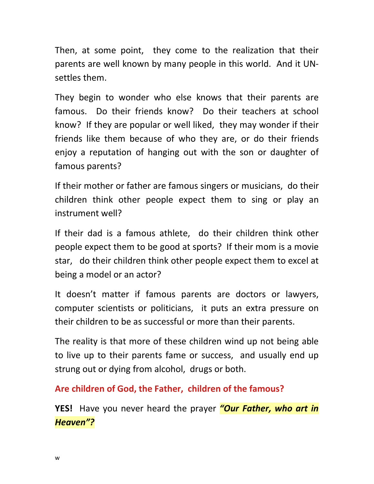Then, at some point, they come to the realization that their parents are well known by many people in this world. And it UNsettles them.

They begin to wonder who else knows that their parents are famous. Do their friends know? Do their teachers at school know? If they are popular or well liked, they may wonder if their friends like them because of who they are, or do their friends enjoy a reputation of hanging out with the son or daughter of famous parents?

If their mother or father are famous singers or musicians, do their children think other people expect them to sing or play an instrument well?

If their dad is a famous athlete, do their children think other people expect them to be good at sports? If their mom is a movie star, do their children think other people expect them to excel at being a model or an actor?

It doesn't matter if famous parents are doctors or lawyers, computer scientists or politicians, it puts an extra pressure on their children to be as successful or more than their parents.

The reality is that more of these children wind up not being able to live up to their parents fame or success, and usually end up strung out or dying from alcohol, drugs or both.

**Are children of God, the Father, children of the famous?**

**YES!** Have you never heard the prayer *"Our Father, who art in Heaven"?*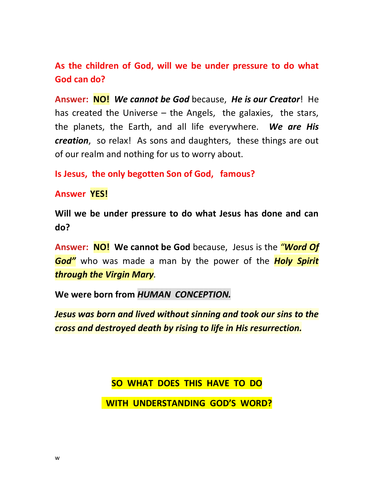**As the children of God, will we be under pressure to do what God can do?**

**Answer: NO!** *We cannot be God* because, *He is our Creator*! He has created the Universe – the Angels, the galaxies, the stars, the planets, the Earth, and all life everywhere. *We are His creation*, so relax! As sons and daughters, these things are out of our realm and nothing for us to worry about.

**Is Jesus, the only begotten Son of God, famous?**

**Answer YES!**

**Will we be under pressure to do what Jesus has done and can do?**

**Answer: NO! We cannot be God** because, Jesus is the *"Word Of God"* who was made a man by the power of the *Holy Spirit through the Virgin Mary.*

**We were born from** *HUMAN CONCEPTION.*

*Jesus was born and lived without sinning and took our sins to the cross and destroyed death by rising to life in His resurrection.*

**SO WHAT DOES THIS HAVE TO DO**

 **WITH UNDERSTANDING GOD'S WORD?**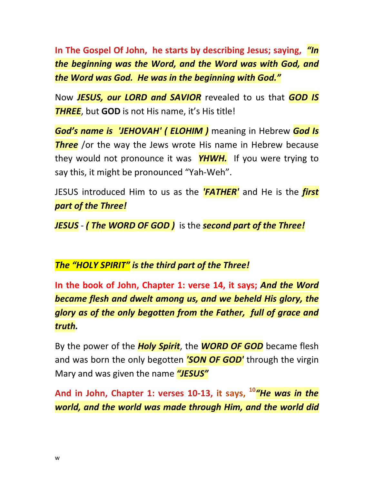**In The Gospel Of John, he starts by describing Jesus; saying,** *"In the beginning was the Word, and the Word was with God, and the Word was God. He was in the beginning with God."*

Now *JESUS, our LORD and SAVIOR* revealed to us that *GOD IS THREE*, but **GOD** is not His name, it's His title!

*God's name is 'JEHOVAH' ( ELOHIM )* meaning in Hebrew *God Is Three* /or the way the Jews wrote His name in Hebrew because they would not pronounce it was *YHWH.* If you were trying to say this, it might be pronounced "Yah-Weh".

JESUS introduced Him to us as the *'FATHER'* and He is the *first part of the Three!*

*JESUS* - *( The WORD OF GOD )* is the *second part of the Three!*

*The "HOLY SPIRIT" is the third part of the Three!*

**In the book of John, Chapter 1: verse 14, it says;** *And the Word became flesh and dwelt among us, and we beheld His glory, the glory as of the only begotten from the Father, full of grace and truth.*

By the power of the *Holy Spirit*, the *WORD OF GOD* became flesh and was born the only begotten *'SON OF GOD'* through the virgin Mary and was given the name *"JESUS"*

**And in John, Chapter 1: verses 10-13, it says, <sup>10</sup>***"He was in the world, and the world was made through Him, and the world did*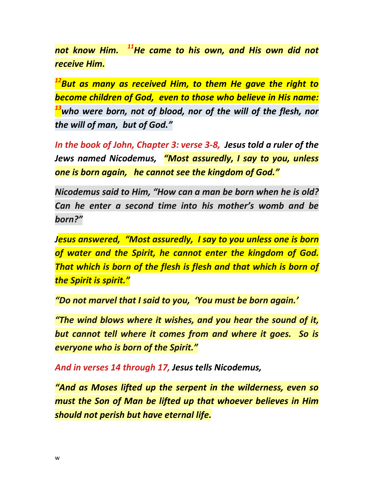*not know Him. <sup>11</sup>He came to his own, and His own did not receive Him.* 

*<sup>12</sup>But as many as received Him, to them He gave the right to become children of God, even to those who believe in His name: <sup>13</sup>who were born, not of blood, nor of the will of the flesh, nor the will of man, but of God."*

*In the book of John, Chapter 3: verse 3-8, Jesus told a ruler of the Jews named Nicodemus, "Most assuredly, I say to you, unless one is born again, he cannot see the kingdom of God."*

*Nicodemus said to Him, "How can a man be born when he is old? Can he enter a second time into his mother's womb and be born?"*

*Jesus answered, "Most assuredly, I say to you unless one is born of water and the Spirit, he cannot enter the kingdom of God. That which is born of the flesh is flesh and that which is born of the Spirit is spirit."*

*"Do not marvel that I said to you, 'You must be born again.'*

*"The wind blows where it wishes, and you hear the sound of it, but cannot tell where it comes from and where it goes. So is everyone who is born of the Spirit."*

*And in verses 14 through 17, Jesus tells Nicodemus,*

*"And as Moses lifted up the serpent in the wilderness, even so must the Son of Man be lifted up that whoever believes in Him should not perish but have eternal life.*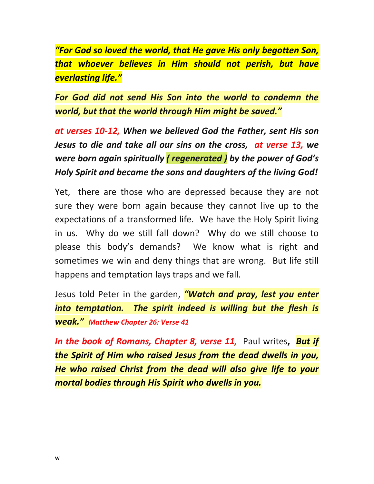*"For God so loved the world, that He gave His only begotten Son, that whoever believes in Him should not perish, but have everlasting life."*

*For God did not send His Son into the world to condemn the world, but that the world through Him might be saved."*

*at verses 10-12, When we believed God the Father, sent His son Jesus to die and take all our sins on the cross, at verse 13, we were born again spiritually ( regenerated ) by the power of God's Holy Spirit and became the sons and daughters of the living God!*

Yet, there are those who are depressed because they are not sure they were born again because they cannot live up to the expectations of a transformed life. We have the Holy Spirit living in us. Why do we still fall down? Why do we still choose to please this body's demands? We know what is right and sometimes we win and deny things that are wrong. But life still happens and temptation lays traps and we fall.

Jesus told Peter in the garden, *"Watch and pray, lest you enter into temptation. The spirit indeed is willing but the flesh is weak." Matthew Chapter 26: Verse 41*

*In the book of Romans, Chapter 8, verse 11,* Paul writes**,** *But if the Spirit of Him who raised Jesus from the dead dwells in you, He who raised Christ from the dead will also give life to your mortal bodies through His Spirit who dwells in you.*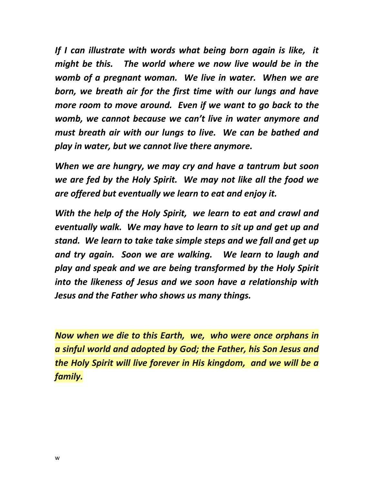*If I can illustrate with words what being born again is like, it might be this. The world where we now live would be in the womb of a pregnant woman. We live in water. When we are born, we breath air for the first time with our lungs and have more room to move around. Even if we want to go back to the womb, we cannot because we can't live in water anymore and must breath air with our lungs to live. We can be bathed and play in water, but we cannot live there anymore.* 

*When we are hungry, we may cry and have a tantrum but soon we are fed by the Holy Spirit. We may not like all the food we are offered but eventually we learn to eat and enjoy it.*

*With the help of the Holy Spirit, we learn to eat and crawl and eventually walk. We may have to learn to sit up and get up and stand. We learn to take take simple steps and we fall and get up and try again. Soon we are walking. We learn to laugh and play and speak and we are being transformed by the Holy Spirit into the likeness of Jesus and we soon have a relationship with Jesus and the Father who shows us many things.*

*Now when we die to this Earth, we, who were once orphans in a sinful world and adopted by God; the Father, his Son Jesus and the Holy Spirit will live forever in His kingdom, and we will be a family.*